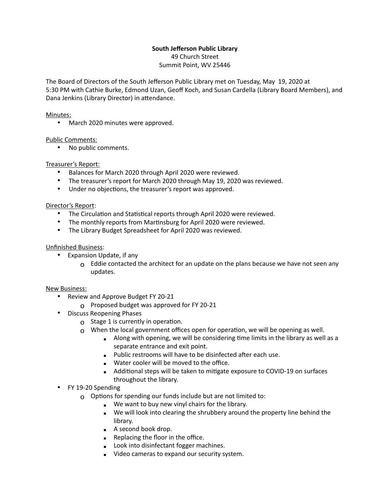# **South Jefferson Public Library**

49 Church Street Summit Point, WV 25446

The Board of Directors of the South Jefferson Public Library met on Tuesday, May 19, 2020 at 5:30 PM with Cathie Burke, Edmond Uzan, Geoff Koch, and Susan Cardella (Library Board Members), and Dana Jenkins (Library Director) in attendance.

#### Minutes:

• March 2020 minutes were approved.

### Public Comments:

• No public comments.

## Treasurer's Report:

- Balances for March 2020 through April 2020 were reviewed.
- The treasurer's report for March 2020 through May 19, 2020 was reviewed.
- Under no objections, the treasurer's report was approved.

### Director's Report:

- The Circulation and Statistical reports through April 2020 were reviewed.
- The monthly reports from Martinsburg for April 2020 were reviewed.
- The Library Budget Spreadsheet for April 2020 was reviewed.

### Unfinished Business:

- Expansion Update, if any
	- $\Omega$  Eddie contacted the architect for an update on the plans because we have not seen any updates.

### New Business:

- Review and Approve Budget FY 20-21
	- o Proposed budget was approved for FY 20-21
- Discuss Reopening Phases
	- $\Omega$  Stage 1 is currently in operation.
	- $\Omega$  When the local government offices open for operation, we will be opening as well.
		- $\blacksquare$  Along with opening, we will be considering time limits in the library as well as a separate entrance and exit point.
		- **EXECT** Public restrooms will have to be disinfected after each use.
		- **■** Water cooler will be moved to the office.
		- Additional steps will be taken to mitigate exposure to COVID-19 on surfaces throughout the library.
- FY 19-20 Spending
	- $\Omega$  Options for spending our funds include but are not limited to:
		- We want to buy new vinyl chairs for the library.
		- We will look into clearing the shrubbery around the property line behind the library.
		- A second book drop.
		- Replacing the floor in the office.
		- **■** Look into disinfectant fogger machines.
		- **EXEC** Video cameras to expand our security system.